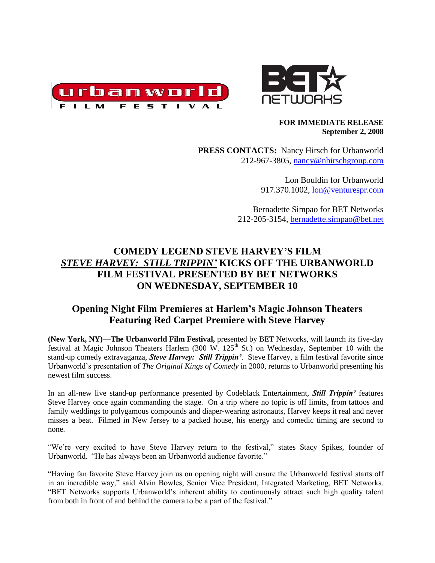



#### **FOR IMMEDIATE RELEASE September 2, 2008**

**PRESS CONTACTS:** Nancy Hirsch for Urbanworld 212-967-3805, [nancy@nhirschgroup.com](mailto:nancy@nhirschgroup.com)

> Lon Bouldin for Urbanworld 917.370.1002, [lon@venturespr.com](mailto:lon@venturespr.com)

Bernadette Simpao for BET Networks 212-205-3154, [bernadette.simpao@bet.net](mailto:bernadette.simpao@bet.net)

# **COMEDY LEGEND STEVE HARVEY'S FILM**  *STEVE HARVEY: STILL TRIPPIN'* **KICKS OFF THE URBANWORLD FILM FESTIVAL PRESENTED BY BET NETWORKS ON WEDNESDAY, SEPTEMBER 10**

# **Opening Night Film Premieres at Harlem's Magic Johnson Theaters Featuring Red Carpet Premiere with Steve Harvey**

**(New York, NY)—The Urbanworld Film Festival,** presented by BET Networks, will launch its five-day festival at Magic Johnson Theaters Harlem (300 W.  $125<sup>th</sup>$  St.) on Wednesday, September 10 with the stand-up comedy extravaganza, *Steve Harvey: Still Trippin'*. Steve Harvey, a film festival favorite since Urbanworld's presentation of *The Original Kings of Comedy* in 2000, returns to Urbanworld presenting his newest film success.

In an all-new live stand-up performance presented by Codeblack Entertainment, *Still Trippin'* features Steve Harvey once again commanding the stage. On a trip where no topic is off limits, from tattoos and family weddings to polygamous compounds and diaper-wearing astronauts, Harvey keeps it real and never misses a beat. Filmed in New Jersey to a packed house, his energy and comedic timing are second to none.

"We're very excited to have Steve Harvey return to the festival," states Stacy Spikes, founder of Urbanworld. "He has always been an Urbanworld audience favorite."

"Having fan favorite Steve Harvey join us on opening night will ensure the Urbanworld festival starts off in an incredible way," said Alvin Bowles, Senior Vice President, Integrated Marketing, BET Networks. "BET Networks supports Urbanworld's inherent ability to continuously attract such high quality talent from both in front of and behind the camera to be a part of the festival."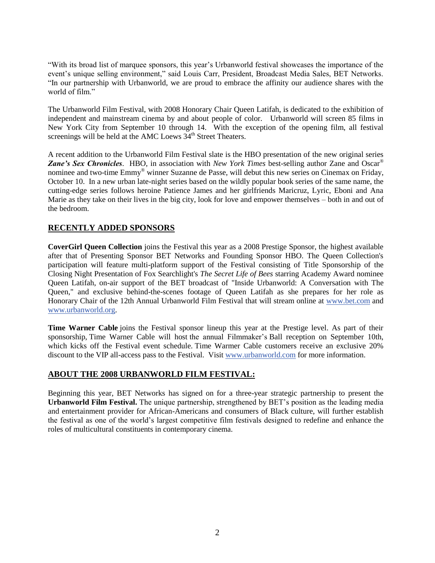"With its broad list of marquee sponsors, this year's Urbanworld festival showcases the importance of the event's unique selling environment," said Louis Carr, President, Broadcast Media Sales, BET Networks. "In our partnership with Urbanworld, we are proud to embrace the affinity our audience shares with the world of film."

The Urbanworld Film Festival, with 2008 Honorary Chair Queen Latifah, is dedicated to the exhibition of independent and mainstream cinema by and about people of color. Urbanworld will screen 85 films in New York City from September 10 through 14. With the exception of the opening film, all festival screenings will be held at the AMC Loews  $34<sup>th</sup>$  Street Theaters.

A recent addition to the Urbanworld Film Festival slate is the HBO presentation of the new original series *Zane's Sex Chronicles*. HBO, in association with *New York Times* best-selling author Zane and Oscar® nominee and two-time Emmy® winner Suzanne de Passe, will debut this new series on Cinemax on Friday, October 10. In a new urban late-night series based on the wildly popular book series of the same name, the cutting-edge series follows heroine Patience James and her girlfriends Maricruz, Lyric, Eboni and Ana Marie as they take on their lives in the big city, look for love and empower themselves – both in and out of the bedroom.

### **RECENTLY ADDED SPONSORS**

**CoverGirl Queen Collection** joins the Festival this year as a 2008 Prestige Sponsor, the highest available after that of Presenting Sponsor BET Networks and Founding Sponsor HBO. The Queen Collection's participation will feature multi-platform support of the Festival consisting of Title Sponsorship of the Closing Night Presentation of Fox Searchlight's *The Secret Life of Bees* starring Academy Award nominee Queen Latifah, on-air support of the BET broadcast of "Inside Urbanworld: A Conversation with The Queen," and exclusive behind-the-scenes footage of Queen Latifah as she prepares for her role as Honorary Chair of the 12th Annual Urbanworld Film Festival that will stream online at [www.bet.com](http://www.bet.com/) and [www.urbanworld.org.](http://www.urbanworld.org/)

**Time Warner Cable** joins the Festival sponsor lineup this year at the Prestige level. As part of their sponsorship, Time Warner Cable will host the annual Filmmaker's Ball reception on September 10th, which kicks off the Festival event schedule. Time Warmer Cable customers receive an exclusive 20% discount to the VIP all-access pass to the Festival. Visit [www.urbanworld.com](http://www.urbanworld.com/) for more information.

### **ABOUT THE 2008 URBANWORLD FILM FESTIVAL:**

Beginning this year, BET Networks has signed on for a three-year strategic partnership to present the **Urbanworld Film Festival.** The unique partnership, strengthened by BET's position as the leading media and entertainment provider for African-Americans and consumers of Black culture, will further establish the festival as one of the world's largest competitive film festivals designed to redefine and enhance the roles of multicultural constituents in contemporary cinema.